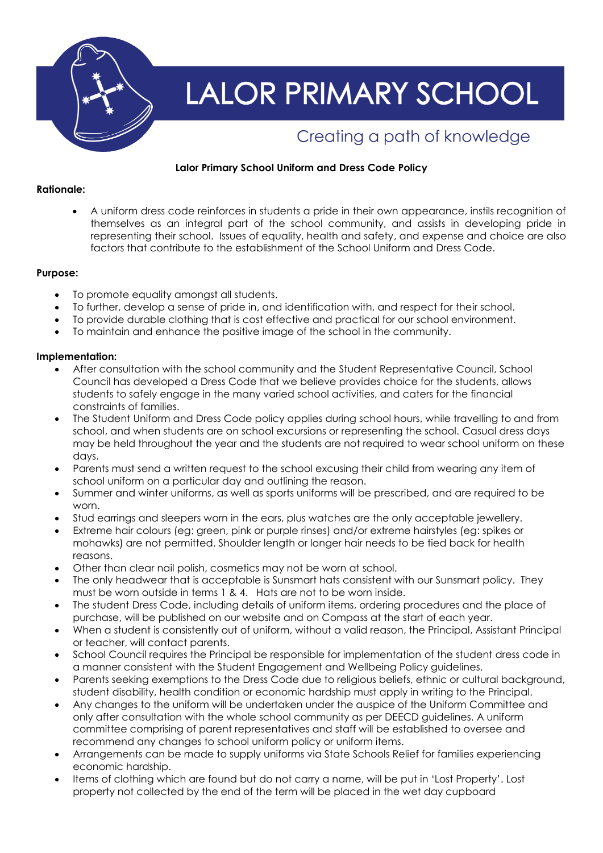

# **LALOR PRIMARY SCHOOL**

# Creating a path of knowledge

# **Lalor Primary School Uniform and Dress Code Policy**

# **Rationale:**

 A uniform dress code reinforces in students a pride in their own appearance, instils recognition of themselves as an integral part of the school community, and assists in developing pride in representing their school. Issues of equality, health and safety, and expense and choice are also factors that contribute to the establishment of the School Uniform and Dress Code.

# **Purpose:**

- To promote equality amongst all students.
- To further, develop a sense of pride in, and identification with, and respect for their school.
- To provide durable clothing that is cost effective and practical for our school environment.
- To maintain and enhance the positive image of the school in the community.

# **Implementation:**

- After consultation with the school community and the Student Representative Council, School Council has developed a Dress Code that we believe provides choice for the students, allows students to safely engage in the many varied school activities, and caters for the financial constraints of families.
- The Student Uniform and Dress Code policy applies during school hours, while travelling to and from school, and when students are on school excursions or representing the school. Casual dress days may be held throughout the year and the students are not required to wear school uniform on these days.
- Parents must send a written request to the school excusing their child from wearing any item of school uniform on a particular day and outlining the reason.
- Summer and winter uniforms, as well as sports uniforms will be prescribed, and are required to be worn.
- Stud earrings and sleepers worn in the ears, plus watches are the only acceptable jewellery.
- Extreme hair colours (eg: green, pink or purple rinses) and/or extreme hairstyles (eg: spikes or mohawks) are not permitted. Shoulder length or longer hair needs to be tied back for health reasons.
- Other than clear nail polish, cosmetics may not be worn at school.
- The only headwear that is acceptable is Sunsmart hats consistent with our Sunsmart policy. They must be worn outside in terms 1 & 4. Hats are not to be worn inside.
- The student Dress Code, including details of uniform items, ordering procedures and the place of purchase, will be published on our website and on Compass at the start of each year.
- When a student is consistently out of uniform, without a valid reason, the Principal, Assistant Principal or teacher, will contact parents.
- School Council requires the Principal be responsible for implementation of the student dress code in a manner consistent with the Student Engagement and Wellbeing Policy guidelines.
- Parents seeking exemptions to the Dress Code due to religious beliefs, ethnic or cultural background, student disability, health condition or economic hardship must apply in writing to the Principal.
- Any changes to the uniform will be undertaken under the auspice of the Uniform Committee and only after consultation with the whole school community as per DEECD guidelines. A uniform committee comprising of parent representatives and staff will be established to oversee and recommend any changes to school uniform policy or uniform items.
- Arrangements can be made to supply uniforms via State Schools Relief for families experiencing economic hardship.
- Items of clothing which are found but do not carry a name, will be put in 'Lost Property'. Lost property not collected by the end of the term will be placed in the wet day cupboard